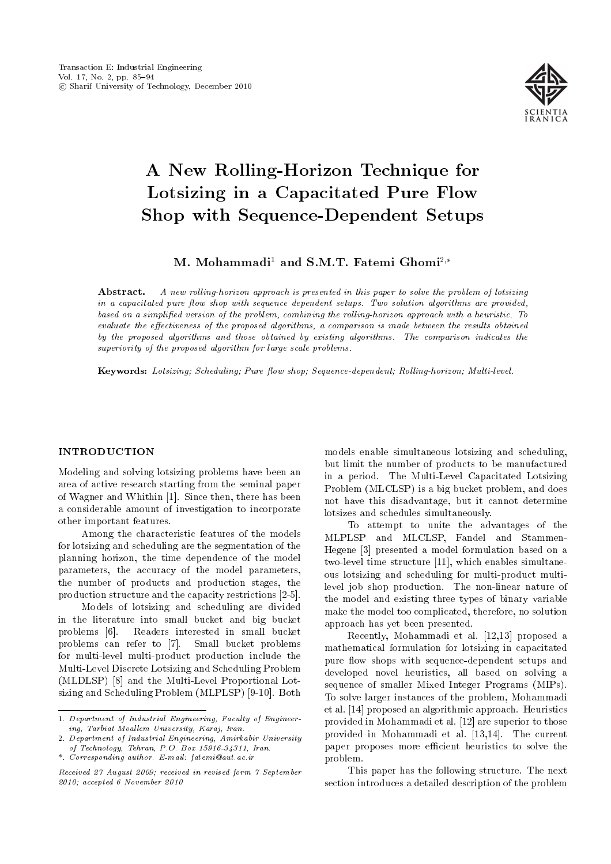

# A New Rolling-Horizon Technique for Lotsizing in a Capacitated Pure Flow Shop with Sequence-Dependent Setups

# M. Mohammadi<sup>1</sup> and S.M.T. Fatemi Ghomi<sup>2,\*</sup>

Abstract. A new rolling-horizon approach is presented in this paper to solve the problem of lotsizing in a capacitated pure flow shop with sequence dependent setups. Two solution algorithms are provided, based on a simplified version of the problem, combining the rolling-horizon approach with a heuristic. To evaluate the effectiveness of the proposed algorithms, a comparison is made between the results obtained by the proposed algorithms and those obtained by existing algorithms. The comparison indicates the superiority of the proposed algorithm for large scale problems.

Keywords: Lotsizing; Scheduling; Pure flow shop; Sequence-dependent; Rolling-horizon; Multi-level.

# INTRODUCTION

Modeling and solving lotsizing problems have been an area of active research starting from the seminal paper of Wagner and Whithin [1]. Since then, there has been a considerable amount of investigation to incorporate other important features.

Among the characteristic features of the models for lotsizing and scheduling are the segmentation of the planning horizon, the time dependence of the model parameters, the accuracy of the model parameters, the number of products and production stages, the production structure and the capacity restrictions [2-5].

Models of lotsizing and scheduling are divided in the literature into small bucket and big bucket problems [6]. Readers interested in small bucket problems can refer to [7]. Small bucket problems for multi-level multi-product production include the Multi-Level Discrete Lotsizing and Scheduling Problem (MLDLSP) [8] and the Multi-Level Proportional Lotsizing and Scheduling Problem (MLPLSP) [9-10]. Both models enable simultaneous lotsizing and scheduling, but limit the number of products to be manufactured in a period. The Multi-Level Capacitated Lotsizing Problem (MLCLSP) is a big bucket problem, and does not have this disadvantage, but it cannot determine lotsizes and schedules simultaneously.

To attempt to unite the advantages of the MLPLSP and MLCLSP, Fandel and Stammen-Hegene [3] presented a model formulation based on a two-level time structure [11], which enables simultaneous lotsizing and scheduling for multi-product multilevel job shop production. The non-linear nature of the model and existing three types of binary variable make the model too complicated, therefore, no solution approach has yet been presented.

Recently, Mohammadi et al. [12,13] proposed a mathematical formulation for lotsizing in capacitated pure flow shops with sequence-dependent setups and developed novel heuristics, all based on solving a sequence of smaller Mixed Integer Programs (MIPs). To solve larger instances of the problem, Mohammadi et al. [14] proposed an algorithmic approach. Heuristics provided in Mohammadi et al. [12] are superior to those provided in Mohammadi et al. [13,14]. The current paper proposes more efficient heuristics to solve the problem.

This paper has the following structure. The next section introduces a detailed description of the problem

<sup>1.</sup> Department of Industrial Engineering, Faculty of Engineering, Tarbiat Moallem University, Karaj, Iran.

<sup>2.</sup> Department of Industrial Engineering, Amirkabir University of Technology, Tehran, P.O. Box 15916-34311, Iran.

<sup>\*.</sup> Corresponding author. E-mail: fatemi@aut.ac.ir

Received 27 August 2009; received in revised form 7 September 2010; accepted 6 November 2010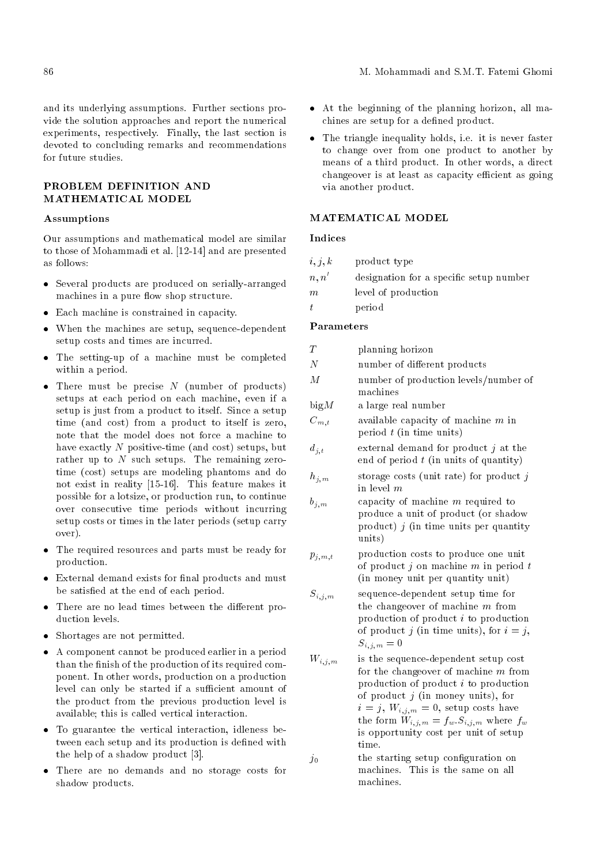and its underlying assumptions. Further sections provide the solution approaches and report the numerical experiments, respectively. Finally, the last section is devoted to concluding remarks and recommendations for future studies.

# PROBLEM DEFINITION AND MATHEMATICAL MODEL

# Assumptions

Our assumptions and mathematical model are similar to those of Mohammadi et al. [12-14] and are presented as follows:

- Several products are produced on serially-arranged machines in a pure flow shop structure.
- Each machine is constrained in capacity.
- When the machines are setup, sequence-dependent setup costs and times are incurred.
- The setting-up of a machine must be completed within a period.
- $\bullet$  There must be precise N (number of products) setups at each period on each machine, even if a setup is just from a product to itself. Since a setup time (and cost) from a product to itself is zero, note that the model does not force a machine to have exactly N positive-time (and cost) setups, but rather up to  $N$  such setups. The remaining zerotime (cost) setups are modeling phantoms and do not exist in reality [15-16]. This feature makes it possible for a lotsize, or production run, to continue over consecutive time periods without incurring setup costs or times in the later periods (setup carry over).
- The required resources and parts must be ready for production.
- $\bullet$  External demand exists for final products and must be satisfied at the end of each period.
- $\bullet$  There are no lead times between the different production levels.
- Shortages are not permitted.
- A component cannot be produced earlier in a period than the finish of the production of its required component. In other words, production on a production level can only be started if a sufficient amount of the product from the previous production level is available; this is called vertical interaction.
- To guarantee the vertical interaction, idleness between each setup and its production is defined with the help of a shadow product [3].
- There are no demands and no storage costs for shadow products.
- At the beginning of the planning horizon, all machines are setup for a defined product.
- The triangle inequality holds, i.e. it is never faster to change over from one product to another by means of a third product. In other words, a direct changeover is at least as capacity efficient as going via another product.

# MATEMATICAL MODEL

# Indices

| i, j, k | product type                            |
|---------|-----------------------------------------|
| n, n'   | designation for a specific setup number |
| m       | level of production                     |
| t.      | period                                  |

# Parameters

| $\scriptstyle T$ | planning horizon                                                                                                                  |
|------------------|-----------------------------------------------------------------------------------------------------------------------------------|
| $\overline{N}$   | number of different products                                                                                                      |
| М                | number of production levels/number of<br>machines                                                                                 |
| bigM             | a large real number                                                                                                               |
| $C_{m,\,t}$      | available capacity of machine $m$ in<br>period $t$ (in time units)                                                                |
| $d_{\,i\,,\,t}$  | external demand for product $j$ at the<br>end of period $t$ (in units of quantity)                                                |
| $h_{j,m}$        | storage costs (unit rate) for product $j$<br>in level $m$                                                                         |
| $b_{j,m}$        | capacity of machine $m$ required to<br>produce a unit of product (or shadow<br>product) $j$ (in time units per quantity<br>units) |
| $p_{j,m,t}$      | production costs to produce one unit<br>of product $j$ on machine $m$ in period $t$<br>(in money unit per quantity unit)          |

- $S_{i,j,m}$  sequence-dependent setup time for the changeover of machine m from production of product i to production of product j (in time units), for  $i = j$ ,  $S_{i,j,m} = 0$
- $W_{i,i,m}$  is the sequence-dependent setup cost for the changeover of machine  $m$  from production of product i to production of product  $j$  (in money units), for  $i = j, W_{i,j,m} = 0$ , setup costs have the form  $W_{i,j,m} = f_w.S_{i,j,m}$  where  $f_w$ is opportunity cost per unit of setup time.
- $j_0$  the starting setup configuration on machines. This is the same on all machines.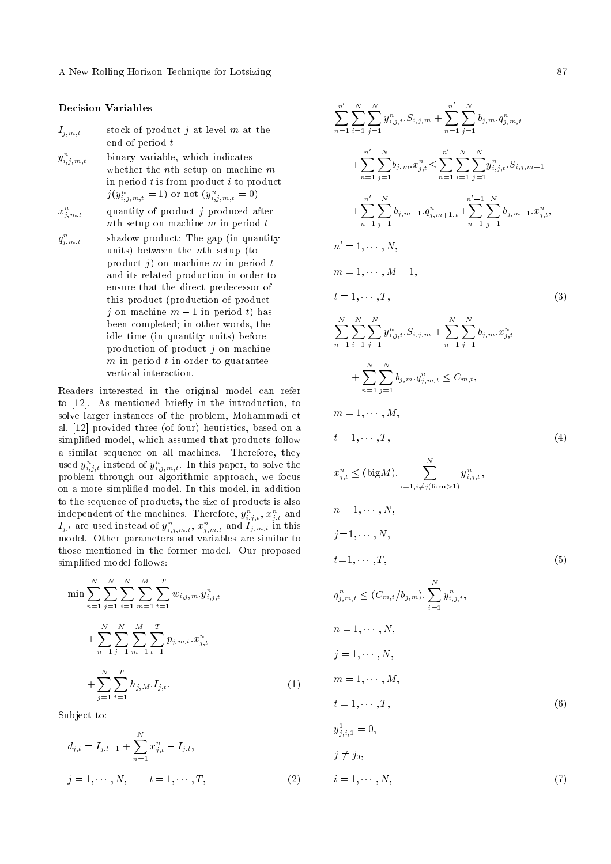A New Rolling-Horizon Technique for Lotsizing 87

# Decision Variables

 $I_{j,m,t}$  stock of product j at level m at the end of period t

- $y_i^n$ binary variable, which indicates whether the *n*<sup>th</sup> setup on machine *m* in period  $t$  is from product  $i$  to product  $j(y_{i,j,m,t}^n=1)$  or not  $(y_{i,j,m,t}^n=0)$
- $x_j^n$ quantity of product  $j$  produced after nth setup on machine  $m$  in period  $t$
- $q_j^n$ shadow product: The gap (in quantity) units) between the nth setup (to product  $j$ ) on machine  $m$  in period  $t$ and its related production in order to ensure that the direct predecessor of this product (production of product j on machine  $m-1$  in period t) has been completed; in other words, the idle time (in quantity units) before production of product  $j$  on machine  $m$  in period  $t$  in order to guarantee vertical interaction.

Readers interested in the original model can refer to [12]. As mentioned briefly in the introduction, to solve larger instances of the problem, Mohammadi et al. [12] provided three (of four) heuristics, based on a simplied model, which assumed that products follow a similar sequence on all machines. Therefore, they used  $y_{i,j,t}^n$  instead of  $y_{i,j,m,t}^n$ . In this paper, to solve the problem through our algorithmic approach, we focus on a more simplied model. In this model, in addition to the sequence of products, the size of products is also independent of the machines. Therefore,  $y_{i,j,t}^n,$   $x_{j,t}^n$  and  $I_{j,t}$  are used instead of  $y_{i,j,m,t}^n$ ,  $x_{j,m,t}^n$  and  $I_{j,m,t}$  in this model. Other parameters and variables are similar to those mentioned in the former model. Our proposed simplied model follows:

$$
\min \sum_{n=1}^{N} \sum_{j=1}^{N} \sum_{i=1}^{N} \sum_{m=1}^{M} \sum_{t=1}^{T} w_{i,j,m} \cdot y_{i,j,t}^{n} + \sum_{n=1}^{N} \sum_{j=1}^{N} \sum_{m=1}^{M} \sum_{t=1}^{T} p_{j,m,t} \cdot x_{j,t}^{n} + \sum_{j=1}^{N} \sum_{t=1}^{T} h_{j,M} \cdot I_{j,t}.
$$
\n(1)

Subject to:

$$
d_{j,t} = I_{j,t-1} + \sum_{n=1}^{N} x_{j,t}^{n} - I_{j,t},
$$
  

$$
j = 1, \cdots, N, \qquad t = 1, \cdots, T,
$$
 (2)

$$
\sum_{n=1}^{n'} \sum_{i=1}^{N} \sum_{j=1}^{N} y_{i,j,t}^{n} S_{i,j,m} + \sum_{n=1}^{n'} \sum_{j=1}^{N} b_{j,m} q_{j,m,t}^{n}
$$
  
+ 
$$
\sum_{n=1}^{n'} \sum_{j=1}^{N} b_{j,m} x_{j,t}^{n} \le \sum_{n=1}^{n'} \sum_{i=1}^{N} \sum_{j=1}^{N} y_{i,j,t}^{n} S_{i,j,m+1}
$$
  
+ 
$$
\sum_{n=1}^{n'} \sum_{j=1}^{N} b_{j,m+1} q_{j,m+1,t}^{n} + \sum_{n=1}^{n'-1} \sum_{j=1}^{N} b_{j,m+1} x_{j,t}^{n},
$$
  

$$
n' = 1, \dots, N,
$$
  

$$
m = 1, \dots, M - 1,
$$
  

$$
t = 1, \dots, T,
$$
  

$$
\sum_{n=1}^{N} \sum_{i=1}^{N} y_{i,j,t}^{n} S_{i,j,m} + \sum_{n=1}^{N} \sum_{j=1}^{N} b_{j,m} x_{j,t}^{n}
$$
  
+ 
$$
\sum_{n=1}^{N} \sum_{j=1}^{N} b_{j,m} q_{j,m,t}^{n} \le C_{m,t},
$$
  

$$
m = 1, \dots, M,
$$
  

$$
t = 1, \dots, T,
$$
  

$$
x_{j,t}^{n} \le (\text{big } M).
$$
  

$$
n = 1, \dots, N,
$$
  

$$
j = 1, \dots, N,
$$
  

$$
t = 1, \dots, N,
$$
  

$$
t = 1, \dots, N,
$$
  

$$
t = 1, \dots, N,
$$
  

$$
m = 1, \dots, N,
$$
  

$$
m = 1, \dots, N,
$$
  

$$
m = 1, \dots, N,
$$
  

$$
m = 1, \dots, N,
$$
  

$$
m = 1, \dots, N,
$$
  

$$
m = 1, \dots, N,
$$
  

$$
t = 1, \dots, N,
$$
  

$$
t = 1, \dots, T,
$$

$$
y_{j,i,1}^1 = 0,
$$
  
\n
$$
j \neq j_0,
$$
  
\n
$$
i = 1, \cdots, N,
$$
\n(7)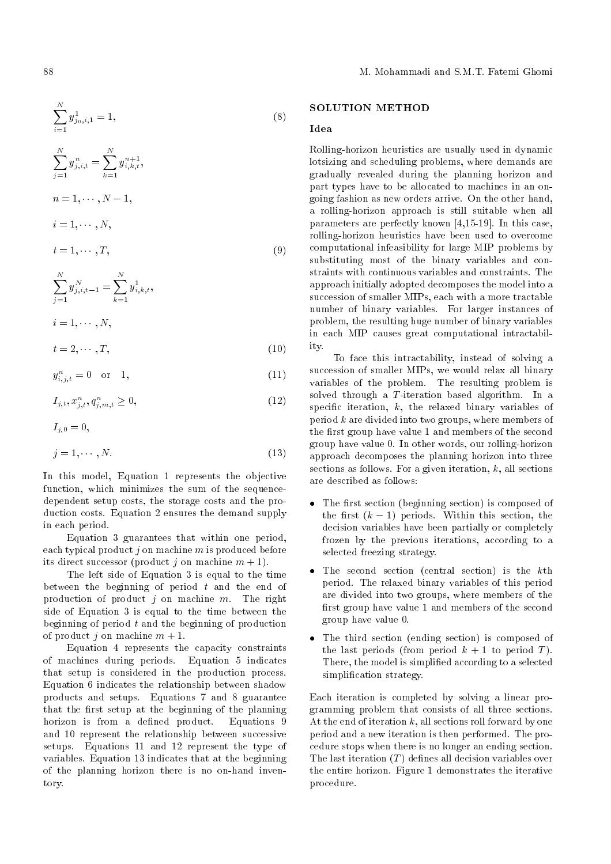$$
\sum_{j=1}^{N} y_{j,i,t}^{n} = \sum_{k=1}^{N} y_{i,k,t}^{n+1},
$$
  
\n
$$
n = 1, \dots, N - 1,
$$
  
\n
$$
i = 1, \dots, N,
$$
  
\n
$$
t = 1, \dots, T,
$$
\n(9)

$$
\sum_{j=1}^{N} y_{j,i,t-1}^{N} = \sum_{k=1}^{N} y_{i,k,t}^{1},
$$
  
\n
$$
i = 1, \cdots, N,
$$
  
\n
$$
t = 2, \cdots, T,
$$
\n(10)

 $y^1_{i,k,t}$ 

 $y_{i,j,t}^n = 0 \quad \text{or} \quad 1,$  (11)

$$
I_{j,t}, x_{j,t}^n, q_{j,m,t}^n \ge 0,\t\t(12)
$$

 $I_{i,0} = 0,$ 

 $\stackrel{N}{\nabla}$ 

$$
j = 1, \cdots, N. \tag{13}
$$

In this model, Equation 1 represents the objective function, which minimizes the sum of the sequencedependent setup costs, the storage costs and the production costs. Equation 2 ensures the demand supply in each period.

Equation 3 guarantees that within one period, each typical product  $i$  on machine m is produced before its direct successor (product j on machine  $m + 1$ ).

The left side of Equation 3 is equal to the time between the beginning of period  $t$  and the end of production of product  $j$  on machine  $m$ . The right side of Equation 3 is equal to the time between the beginning of period  $t$  and the beginning of production of product i on machine  $m + 1$ .

Equation 4 represents the capacity constraints of machines during periods. Equation 5 indicates that setup is considered in the production process. Equation 6 indicates the relationship between shadow products and setups. Equations 7 and 8 guarantee that the first setup at the beginning of the planning horizon is from a defined product. Equations 9 and 10 represent the relationship between successive setups. Equations 11 and 12 represent the type of variables. Equation 13 indicates that at the beginning of the planning horizon there is no on-hand inventory.

# SOLUTION METHOD

# Idea

Rolling-horizon heuristics are usually used in dynamic lotsizing and scheduling problems, where demands are gradually revealed during the planning horizon and part types have to be allocated to machines in an ongoing fashion as new orders arrive. On the other hand, a rolling-horizon approach is still suitable when all parameters are perfectly known [4,15-19]. In this case, rolling-horizon heuristics have been used to overcome computational infeasibility for large MIP problems by substituting most of the binary variables and constraints with continuous variables and constraints. The approach initially adopted decomposes the model into a succession of smaller MIPs, each with a more tractable number of binary variables. For larger instances of problem, the resulting huge number of binary variables in each MIP causes great computational intractability.

To face this intractability, instead of solving a succession of smaller MIPs, we would relax all binary variables of the problem. The resulting problem is solved through a T-iteration based algorithm. In a specific iteration,  $k$ , the relaxed binary variables of period  $k$  are divided into two groups, where members of the first group have value 1 and members of the second group have value 0. In other words, our rolling-horizon approach decomposes the planning horizon into three sections as follows. For a given iteration,  $k$ , all sections are described as follows:

- $\bullet$  The first section (beginning section) is composed of the first  $(k-1)$  periods. Within this section, the decision variables have been partially or completely frozen by the previous iterations, according to a selected freezing strategy.
- The second section (central section) is the kth period. The relaxed binary variables of this period are divided into two groups, where members of the first group have value 1 and members of the second group have value 0.
- The third section (ending section) is composed of the last periods (from period  $k + 1$  to period T). There, the model is simplied according to a selected simplification strategy.

Each iteration is completed by solving a linear programming problem that consists of all three sections. At the end of iteration  $k$ , all sections roll forward by one period and a new iteration is then performed. The procedure stops when there is no longer an ending section. The last iteration  $(T)$  defines all decision variables over the entire horizon. Figure 1 demonstrates the iterative procedure.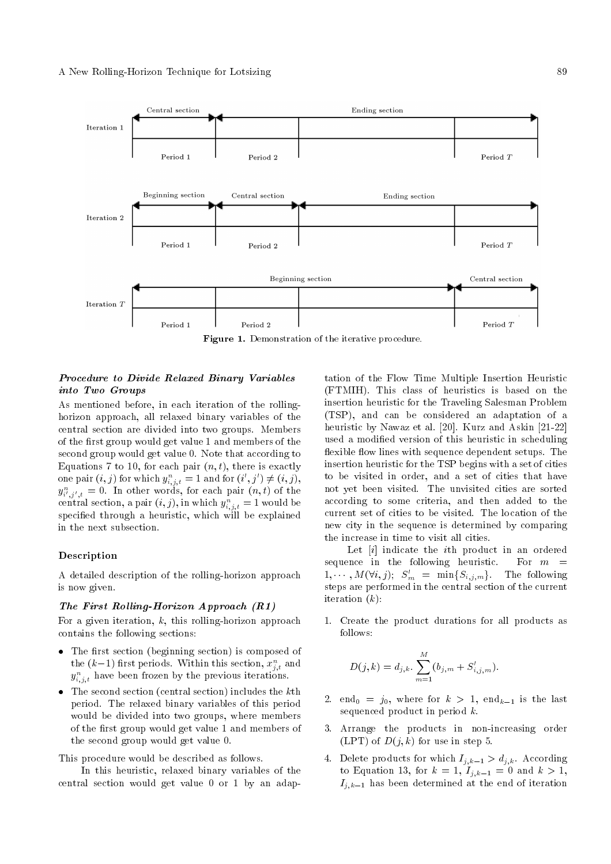

Figure 1. Demonstration of the iterative procedure.

# Procedure to Divide Relaxed Binary Variables into Two Groups

As mentioned before, in each iteration of the rollinghorizon approach, all relaxed binary variables of the central section are divided into two groups. Members of the first group would get value 1 and members of the second group would get value 0. Note that according to Equations 7 to 10, for each pair  $(n, t)$ , there is exactly one pair  $(i, j)$  for which  $y_{i,j,t}^n = 1$  and for  $(i', j') \neq (i, j)$ ,  $y_{i',j',t}^n = 0$ . In other words, for each pair  $(n,t)$  of the  $\text{central section, a pair } (i,j), \text{in which } y^n_{i,j,t} = 1 \text{ would be}$ specied through a heuristic, which will be explained in the next subsection.

# Description

A detailed description of the rolling-horizon approach is now given.

### The First Rolling-Horizon Approach (R1)

For a given iteration,  $k$ , this rolling-horizon approach contains the following sections:

- $\bullet$  The first section (beginning section) is composed of the  $(k\!-\!1)$  first periods. Within this section,  $x_{j,t}^n$  and  $y_{i,j,t}^n$  have been frozen by the previous iterations.
- $\bullet$  The second section (central section) includes the kth period. The relaxed binary variables of this period would be divided into two groups, where members of the first group would get value 1 and members of the second group would get value 0.

This procedure would be described as follows.

In this heuristic, relaxed binary variables of the central section would get value 0 or 1 by an adaptation of the Flow Time Multiple Insertion Heuristic (FTMIH). This class of heuristics is based on the insertion heuristic for the Traveling Salesman Problem (TSP), and can be considered an adaptation of a heuristic by Nawaz et al. [20]. Kurz and Askin [21-22] used a modied version of this heuristic in scheduling flexible flow lines with sequence dependent setups. The insertion heuristic for the TSP begins with a set of cities to be visited in order, and a set of cities that have not yet been visited. The unvisited cities are sorted according to some criteria, and then added to the current set of cities to be visited. The location of the new city in the sequence is determined by comparing the increase in time to visit all cities.

Let [i] indicate the ith product in an ordered sequence in the following heuristic. For  $m =$  $1, \cdots, M(\forall i, j); S'_m = \min\{S_{i,j,m}\}.$  The following steps are performed in the central section of the current iteration  $(k)$ :

1. Create the product durations for all products as follows:

$$
D(j,k) = d_{j,k} \cdot \sum_{m=1}^{M} (b_{j,m} + S'_{i,j,m}).
$$

- 2. end<sub>0</sub> =  $j_0$ , where for  $k > 1$ , end<sub>k-1</sub> is the last sequenced product in period  $k$ .
- 3. Arrange the products in non-increasing order (LPT) of  $D(j,k)$  for use in step 5.
- 4. Delete products for which  $I_{j,k-1} > d_{j,k}$ . According to Equation 13, for  $k = 1, I_{j,k-1} = 0$  and  $k > 1$ ,  $I_{j,k-1}$  has been determined at the end of iteration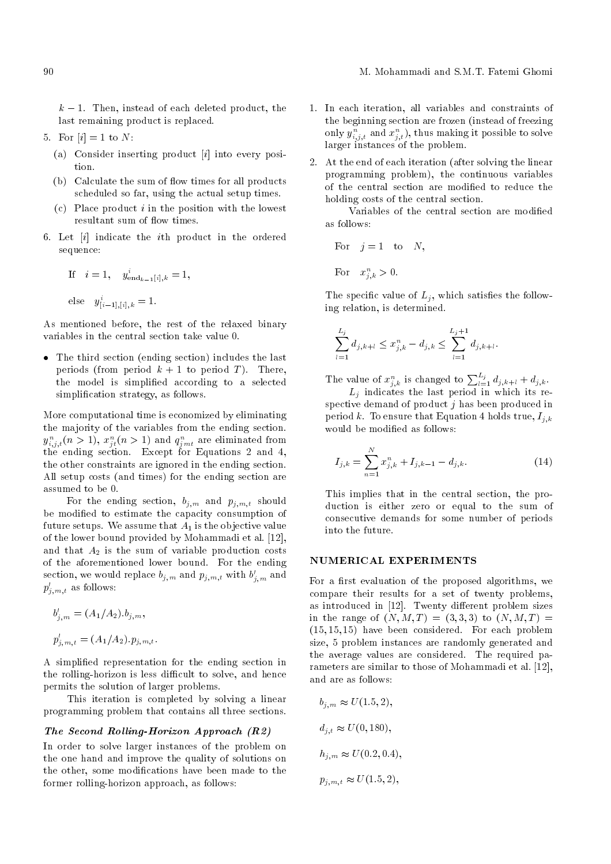$k-1$ . Then, instead of each deleted product, the last remaining product is replaced.

- 5. For  $[i] = 1$  to N:
	- (a) Consider inserting product  $[i]$  into every position.
	- $(b)$  Calculate the sum of flow times for all products scheduled so far, using the actual setup times.
	- $(c)$  Place product *i* in the position with the lowest resultant sum of flow times.
- 6. Let [i] indicate the ith product in the ordered sequence:

If 
$$
i = 1
$$
,  $y_{\text{end}_{k-1}[i], k} = 1$ ,  
else  $y_{[i-1],[i],k}^i = 1$ .

As mentioned before, the rest of the relaxed binary variables in the central section take value 0.

 The third section (ending section) includes the last periods (from period  $k + 1$  to period T). There, the model is simplied according to a selected simplification strategy, as follows.

More computational time is economized by eliminating the majority of the variables from the ending section.  $y_{i,j,t}^n (n>1), x_{jt}^n (n>1)$  and  $q_{jmt}^n$  are eliminated from the ending section. Except for Equations 2 and 4, the other constraints are ignored in the ending section. All setup costs (and times) for the ending section are assumed to be 0.

For the ending section,  $b_{j,m}$  and  $p_{j,m,t}$  should be modified to estimate the capacity consumption of future setups. We assume that  $A_1$  is the objective value of the lower bound provided by Mohammadi et al. [12], and that  $A_2$  is the sum of variable production costs of the aforementioned lower bound. For the ending section, we would replace  $b_{j,m}$  and  $p_{j,m,t}$  with  $b'_{j,m}$  and  $p'_{j,m,t}$  as follows:

$$
b'_{j,m} = (A_1/A_2).b_{j,m},
$$
  

$$
p'_{j,m,t} = (A_1/A_2).p_{j,m,t}.
$$

A simplied representation for the ending section in the rolling-horizon is less difficult to solve, and hence permits the solution of larger problems.

This iteration is completed by solving a linear programming problem that contains all three sections.

# The Second Rolling-Horizon Approach (R2)

In order to solve larger instances of the problem on the one hand and improve the quality of solutions on the other, some modications have been made to the former rolling-horizon approach, as follows:

- 1. In each iteration, all variables and constraints of the beginning section are frozen (instead of freezing only  $y_{i,j,t}^n$  and  $x_{j,t}^n$ ), thus making it possible to solve larger instances of the problem.
- 2. At the end of each iteration (after solving the linear programming problem), the continuous variables of the central section are modied to reduce the holding costs of the central section.

Variables of the central section are modied as follows:

For 
$$
j = 1
$$
 to N,

For  $x_{j,k}^n > 0$ .

The specific value of  $L_i$ , which satisfies the following relation, is determined.

$$
\sum_{l=1}^{L_j} d_{j,k+l} \le x_{j,k}^n - d_{j,k} \le \sum_{l=1}^{L_j+1} d_{j,k+l}
$$

The value of  $x_{j,k}^n$  is changed to  $\sum_{l=1}^{L_j} d_{j,k+l} + d_{j,k}$ .

:

 $L_j$  indicates the last period in which its respective demand of product  $j$  has been produced in period k. To ensure that Equation 4 holds true,  $I_{i,k}$ would be modified as follows:

$$
I_{j,k} = \sum_{n=1}^{N} x_{j,k}^{n} + I_{j,k-1} - d_{j,k}.
$$
 (14)

This implies that in the central section, the production is either zero or equal to the sum of consecutive demands for some number of periods into the future.

# NUMERICAL EXPERIMENTS

For a first evaluation of the proposed algorithms, we compare their results for a set of twenty problems, as introduced in  $[12]$ . Twenty different problem sizes in the range of  $(N, M, T) = (3, 3, 3)$  to  $(N, M, T) =$  $(15, 15, 15)$  have been considered. For each problem size, 5 problem instances are randomly generated and the average values are considered. The required parameters are similar to those of Mohammadi et al. [12], and are as follows:

$$
b_{j,m} \approx U(1.5, 2),
$$
  
\n
$$
d_{j,t} \approx U(0, 180),
$$
  
\n
$$
h_{j,m} \approx U(0.2, 0.4),
$$
  
\n
$$
p_{j,m,t} \approx U(1.5, 2),
$$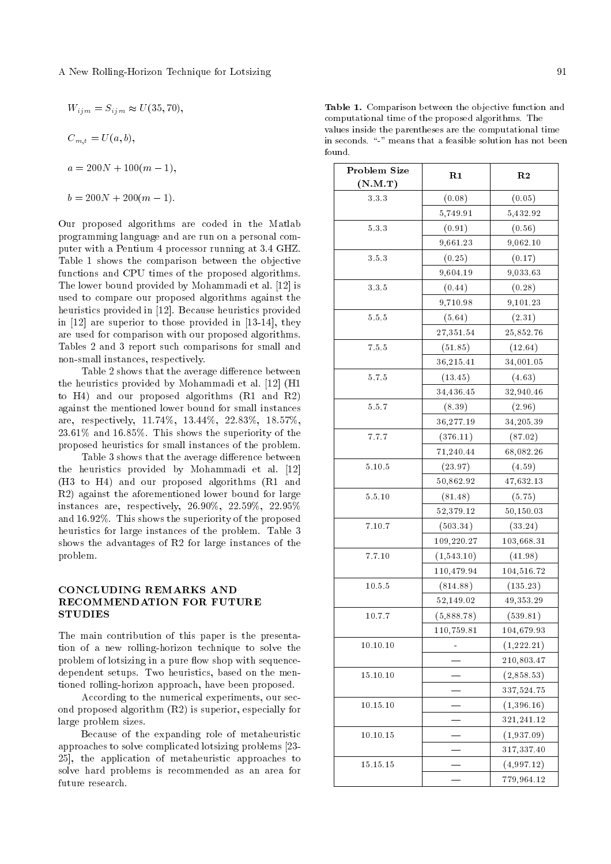$$
W_{ijm} = S_{ijm} \approx U(35, 70),
$$

 $C_{m,t} = U(a, b),$ 

$$
a = 200N + 100(m - 1),
$$

$$
b = 200N + 200(m - 1).
$$

Our proposed algorithms are coded in the Matlab programming language and are run on a personal computer with a Pentium 4 processor running at 3.4 GHZ. Table 1 shows the comparison between the objective functions and CPU times of the proposed algorithms. The lower bound provided by Mohammadi et al. [12] is used to compare our proposed algorithms against the heuristics provided in [12]. Because heuristics provided in [12] are superior to those provided in [13-14], they are used for comparison with our proposed algorithms. Tables 2 and 3 report such comparisons for small and non-small instances, respectively.

Table 2 shows that the average difference between the heuristics provided by Mohammadi et al. [12] (H1 to H4) and our proposed algorithms (R1 and R2) against the mentioned lower bound for small instances are, respectively, 11.74%, 13.44%, 22.83%, 18.57%, 23.61% and 16.85%. This shows the superiority of the proposed heuristics for small instances of the problem.

Table 3 shows that the average difference between the heuristics provided by Mohammadi et al. [12] (H3 to H4) and our proposed algorithms (R1 and R2) against the aforementioned lower bound for large instances are, respectively, 26.90%, 22.59%, 22.95% and 16.92%. This shows the superiority of the proposed heuristics for large instances of the problem. Table 3 shows the advantages of R2 for large instances of the problem.

# CONCLUDING REMARKS AND RECOMMENDATION FOR FUTURE **STUDIES**

The main contribution of this paper is the presentation of a new rolling-horizon technique to solve the problem of lotsizing in a pure flow shop with sequencedependent setups. Two heuristics, based on the mentioned rolling-horizon approach, have been proposed.

According to the numerical experiments, our second proposed algorithm (R2) is superior, especially for large problem sizes.

Because of the expanding role of metaheuristic approaches to solve complicated lotsizing problems [23- 25], the application of metaheuristic approaches to solve hard problems is recommended as an area for future research.

Table 1. Comparison between the objective function and computational time of the proposed algorithms. The values inside the parentheses are the computational time in seconds. "-" means that a feasible solution has not been found.

| Problem Size                         | R1         | R <sub>2</sub>           |  |  |
|--------------------------------------|------------|--------------------------|--|--|
| $(\mathbf{N}.\mathbf{M}.\mathbf{T})$ |            |                          |  |  |
| 3.3.3                                | (0.08)     | (0.05)                   |  |  |
|                                      | 5,749.91   | 5,432.92                 |  |  |
| 5.3.3                                | (0.91)     | (0.56)                   |  |  |
|                                      | 9,661.23   | 9,062.10                 |  |  |
| 3.5.3                                | (0.25)     | (0.17)                   |  |  |
|                                      | 9,604.19   | 9,033.63                 |  |  |
| 3.3.5                                | (0.44)     | (0.28)                   |  |  |
|                                      | 9,710.98   | 9,101.23                 |  |  |
| 5.5.5                                | (5.64)     | (2.31)                   |  |  |
|                                      | 27,351.54  | 25,852.76                |  |  |
| 7.5.5                                | (51.85)    | (12.64)                  |  |  |
|                                      | 36,215.41  | 34,001.05                |  |  |
| 5.7.5                                | (13.45)    | (4.63)                   |  |  |
|                                      | 34,436.45  | 32,940.46                |  |  |
| 5.5.7                                | (8.39)     | (2.96)                   |  |  |
|                                      | 36,277.19  | 34,205.39                |  |  |
| 7.7.7                                | (376.11)   | (87.02)                  |  |  |
|                                      | 71,240.44  | 68,082.26                |  |  |
| 5.10.5                               | (23.97)    | (4.59)                   |  |  |
|                                      | 50,862.92  | 47,632.13                |  |  |
| 5.5.10                               | (81.48)    | (5.75)                   |  |  |
|                                      | 52,379.12  | 50,150.03                |  |  |
| 7.10.7                               | (503.34)   | (33.24)                  |  |  |
|                                      | 109,220.27 | 103,668.31               |  |  |
| 7.7.10                               | (1,543.10) | (41.98)                  |  |  |
|                                      | 110,479.94 | 104,516.72               |  |  |
| 10.5.5                               | (814.88)   | (135.23)                 |  |  |
|                                      | 52,149.02  | 49,353.29                |  |  |
| 10.7.7                               | (5,888.78) | (539.81)                 |  |  |
|                                      | 110,759.81 | 104,679.93               |  |  |
| 10.10.10                             |            | (1,222.21)               |  |  |
|                                      |            | 210,803.47               |  |  |
| 15.10.10                             |            | (2,858.53)               |  |  |
|                                      |            | 337,524.75               |  |  |
| 10.15.10                             |            | (1, 396.16)              |  |  |
|                                      |            | 321,241.12               |  |  |
| 10.10.15                             |            | (1,937.09)               |  |  |
|                                      |            | 317,337.40               |  |  |
| 15.15.15                             |            | $\left( 4,997.12\right)$ |  |  |
|                                      |            | 779,964.12               |  |  |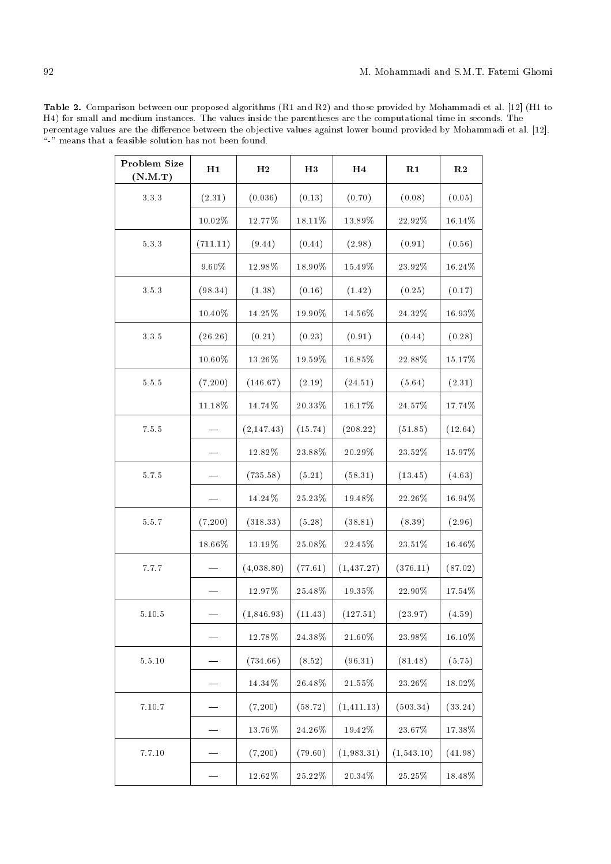Table 2. Comparison between our proposed algorithms (R1 and R2) and those provided by Mohammadi et al. [12] (H1 to H4) for small and medium instances. The values inside the parentheses are the computational time in seconds. The percentage values are the difference between the objective values against lower bound provided by Mohammadi et al. [12]. "-" means that a feasible solution has not been found.

| Problem Size<br>(N.M.T) | H1        | H <sub>2</sub> | H3        | H <sub>4</sub> | R1         | R <sub>2</sub> |
|-------------------------|-----------|----------------|-----------|----------------|------------|----------------|
| $3\ 3\ 3$               | (2.31)    | (0.036)        | (0.13)    | (0.70)         | (0.08)     | (0.05)         |
|                         | $10.02\%$ | $12.77\%$      | 18.11%    | 13.89%         | 22.92%     | 16.14%         |
| $5.3.3\,$               | (711.11)  | (9.44)         | (0.44)    | (2.98)         | (0.91)     | (0.56)         |
|                         | $9.60\%$  | $12.98\%$      | 18.90%    | 15.49%         | $23.92\%$  | 16.24%         |
| 3.5.3                   | (98.34)   | (1.38)         | (0.16)    | (1.42)         | (0.25)     | (0.17)         |
|                         | $10.40\%$ | $14.25\%$      | 19.90%    | $14.56\%$      | $24.32\%$  | 16.93%         |
| 3.3.5                   | (26.26)   | (0.21)         | (0.23)    | (0.91)         | (0.44)     | (0.28)         |
|                         | $10.60\%$ | $13.26\%$      | $19.59\%$ | $16.85\%$      | $22.88\%$  | $15.17\%$      |
| $5.5.5\,$               | (7,200)   | (146.67)       | (2.19)    | (24.51)        | (5.64)     | (2.31)         |
|                         | $11.18\%$ | 14.74%         | $20.33\%$ | 16.17%         | 24.57%     | 17.74%         |
| $7.5.5\,$               |           | (2, 147.43)    | (15.74)   | (208.22)       | (51.85)    | (12.64)        |
|                         |           | 12.82%         | $23.88\%$ | 20.29%         | 23.52%     | 15.97%         |
| 5.7.5                   |           | (735.58)       | (5.21)    | (58.31)        | (13.45)    | (4.63)         |
|                         |           | 14.24%         | $25.23\%$ | 19.48%         | 22.26%     | 16.94%         |
| 5.5.7                   | (7,200)   | (318.33)       | (5.28)    | (38.81)        | (8.39)     | (2.96)         |
|                         | 18.66%    | 13.19%         | $25.08\%$ | $22.45\%$      | $23.51\%$  | 16.46%         |
| 7.7.7                   |           | (4,038.80)     | (77.61)   | (1, 437.27)    | (376.11)   | (87.02)        |
|                         |           | $12.97\%$      | $25.48\%$ | 19.35%         | $22.90\%$  | 17.54%         |
| 5.10.5                  |           | (1,846.93)     | (11.43)   | (127.51)       | (23.97)    | (4.59)         |
|                         |           | $12.78\%$      | $24.38\%$ | $21.60\%$      | $23.98\%$  | $16.10\%$      |
| $5.5.10\,$              |           | (734.66)       | (8.52)    | (96.31)        | (81.48)    | (5.75)         |
|                         |           | $14.34\%$      | $26.48\%$ | 21.55%         | $23.26\%$  | $18.02\%$      |
| 7.10.7                  |           | (7,200)        | (58.72)   | (1, 411.13)    | (503.34)   | (33.24)        |
|                         |           | 13.76%         | $24.26\%$ | $19.42\%$      | $23.67\%$  | 17.38%         |
| 7.7.10                  |           | (7,200)        | (79.60)   | (1,983.31)     | (1,543.10) | (41.98)        |
|                         |           | $12.62\%$      | $25.22\%$ | $20.34\%$      | $25.25\%$  | $18.48\%$      |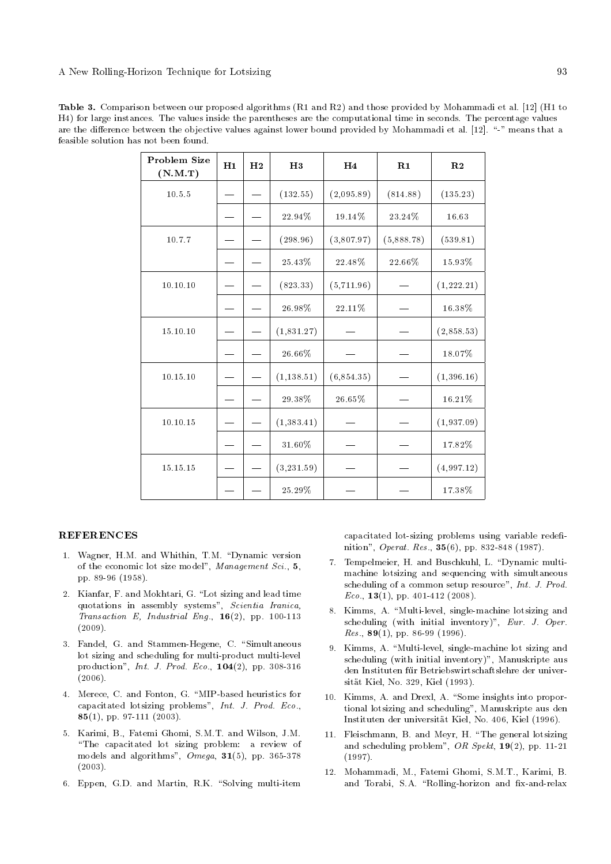Table 3. Comparison between our proposed algorithms (R1 and R2) and those provided by Mohammadi et al. [12] (H1 to H4) for large instances. The values inside the parentheses are the computational time in seconds. The percentage values are the difference between the objective values against lower bound provided by Mohammadi et al. [12]. "-" means that a feasible solution has not been found.

| Problem Size<br>(N.M.T) | H1 | H <sub>2</sub> | H3          | H <sub>4</sub> | R1         | R <sub>2</sub> |
|-------------------------|----|----------------|-------------|----------------|------------|----------------|
| 10.5.5                  |    |                | (132.55)    | (2,095.89)     | (814.88)   | (135.23)       |
|                         |    |                | 22.94%      | 19.14%         | 23.24%     | 16.63          |
| 10.7.7                  |    |                | (298.96)    | (3,807.97)     | (5,888.78) | (539.81)       |
|                         |    |                | $25.43\%$   | 22.48%         | 22.66%     | 15.93%         |
| 10.10.10                |    |                | (823.33)    | (5,711.96)     |            | (1,222.21)     |
|                         |    |                | 26.98%      | $22.11\%$      |            | $16.38\%$      |
| 15.10.10                |    |                | (1,831.27)  |                |            | (2,858.53)     |
|                         |    |                | 26.66%      |                |            | 18.07%         |
| 10.15.10                |    |                | (1, 138.51) | (6,854.35)     |            | (1, 396.16)    |
|                         |    |                | 29.38%      | 26.65%         |            | 16.21%         |
| 10.10.15                |    |                | (1, 383.41) |                |            | (1,937.09)     |
|                         |    |                | 31.60%      |                |            | 17.82%         |
| 15.15.15                |    |                | (3, 231.59) |                |            | (4,997.12)     |
|                         |    |                | 25.29%      |                |            | 17.38%         |

# **REFERENCES**

- 1. Wagner, H.M. and Whithin, T.M. "Dynamic version of the economic lot size model", Management Sci., 5, pp. 89-96 (1958).
- 2. Kianfar, F. and Mokhtari, G. "Lot sizing and lead time quotations in assembly systems", Scientia Iranica, Transaction E, Industrial Eng.,  $16(2)$ , pp. 100-113 (2009).
- 3. Fandel, G. and Stammen-Hegene, C. "Simultaneous lot sizing and scheduling for multi-product multi-level production", Int. J. Prod. Eco., 104(2), pp. 308-316 (2006).
- 4. Merece, C. and Fonton, G. \MIP-based heuristics for capacitated lotsizing problems", Int. J. Prod. Eco., 85(1), pp. 97-111 (2003).
- 5. Karimi, B., Fatemi Ghomi, S.M.T. and Wilson, J.M. \The capacitated lot sizing problem: a review of models and algorithms", Omega, 31(5), pp. 365-378 (2003).
- 6. Eppen, G.D. and Martin, R.K. "Solving multi-item

capacitated lot-sizing problems using variable redefinition", Operat. Res., 35(6), pp. 832-848 (1987).

- 7. Tempelmeier, H. and Buschkuhl, L. "Dynamic multimachine lotsizing and sequencing with simultaneous scheduling of a common setup resource", Int. J. Prod.  $Eco., 13(1), pp. 401-412 (2008).$
- 8. Kimms, A. "Multi-level, single-machine lotsizing and scheduling (with initial inventory)", Eur. J. Oper. Res.,  $89(1)$ , pp. 86-99 (1996).
- 9. Kimms, A. "Multi-level, single-machine lot sizing and scheduling (with initial inventory)", Manuskripte aus den Instituten für Betriebswirtschaftslehre der universitat Kiel, No. 329, Kiel (1993).
- 10. Kimms, A. and Drexl, A. "Some insights into proportional lotsizing and scheduling", Manuskripte aus den Instituten der universitat Kiel, No. 406, Kiel (1996).
- 11. Fleischmann, B. and Meyr, H. \The general lotsizing and scheduling problem", OR Spekt,  $19(2)$ , pp. 11-21 (1997).
- 12. Mohammadi, M., Fatemi Ghomi, S.M.T., Karimi, B. and Torabi, S.A. "Rolling-horizon and fix-and-relax